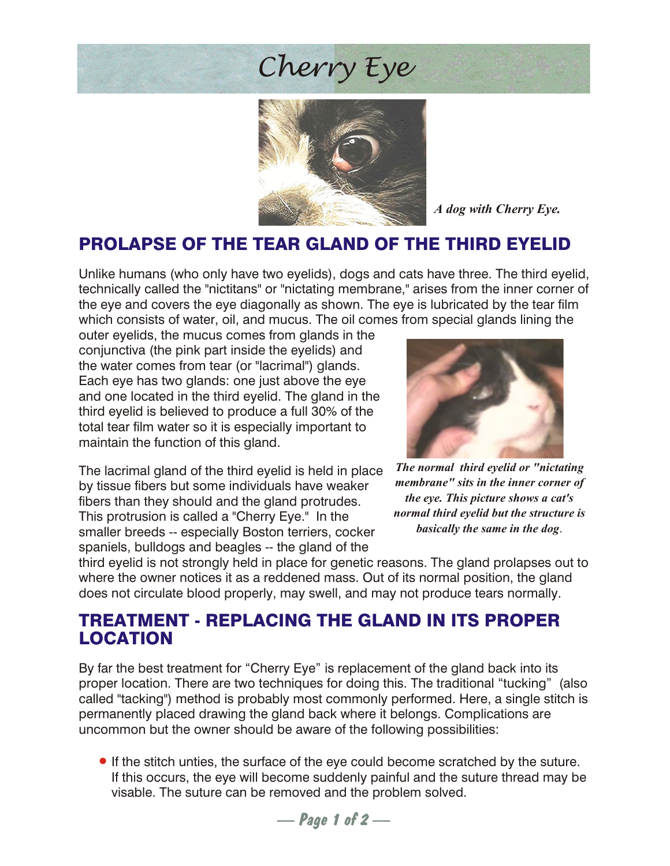## *Cherry Eye*



*A dog with Cherry Eye.*

### PROLAPSE OF THE TEAR GLAND OF THE THIRD EYELID

Unlike humans (who only have two eyelids), dogs and cats have three. The third eyelid, technically called the "nictitans" or "nictating membrane," arises from the inner corner of the eye and covers the eye diagonally as shown. The eye is lubricated by the tear film which consists of water, oil, and mucus. The oil comes from special glands lining the

outer eyelids, the mucus comes from glands in the conjunctiva (the pink part inside the eyelids) and the water comes from tear (or "lacrimal") glands. Each eye has two glands: one just above the eye and one located in the third eyelid. The gland in the third eyelid is believed to produce a full 30% of the total tear film water so it is especially important to maintain the function of this gland.

The lacrimal gland of the third eyelid is held in place by tissue fibers but some individuals have weaker fibers than they should and the gland protrudes. This protrusion is called a "Cherry Eye." In the smaller breeds -- especially Boston terriers, cocker spaniels, bulldogs and beagles -- the gland of the



*The normal third eyelid or "nictating membrane" sits in the inner corner of the eye. This picture shows a cat's normal third eyelid but the structure is basically the same in the dog*.

third eyelid is not strongly held in place for genetic reasons. The gland prolapses out to where the owner notices it as a reddened mass. Out of its normal position, the gland does not circulate blood properly, may swell, and may not produce tears normally.

#### TREATMENT - REPLACING THE GLAND IN ITS PROPER LOCATION

By far the best treatment for "Cherry Eye" is replacement of the gland back into its proper location. There are two techniques for doing this. The traditional "tucking" (also called "tacking") method is probably most commonly performed. Here, a single stitch is permanently placed drawing the gland back where it belongs. Complications are uncommon but the owner should be aware of the following possibilities:

•If the stitch unties, the surface of the eye could become scratched by the suture. If this occurs, the eye will become suddenly painful and the suture thread may be visable. The suture can be removed and the problem solved.